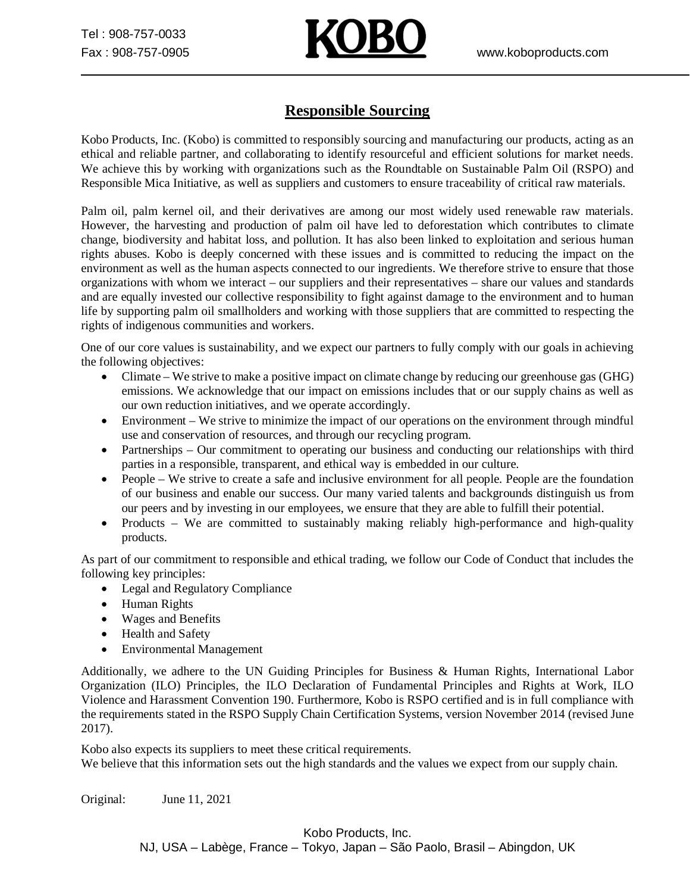

## **Responsible Sourcing**

Kobo Products, Inc. (Kobo) is committed to responsibly sourcing and manufacturing our products, acting as an ethical and reliable partner, and collaborating to identify resourceful and efficient solutions for market needs. We achieve this by working with organizations such as the Roundtable on Sustainable Palm Oil (RSPO) and Responsible Mica Initiative, as well as suppliers and customers to ensure traceability of critical raw materials.

Palm oil, palm kernel oil, and their derivatives are among our most widely used renewable raw materials. However, the harvesting and production of palm oil have led to deforestation which contributes to climate change, biodiversity and habitat loss, and pollution. It has also been linked to exploitation and serious human rights abuses. Kobo is deeply concerned with these issues and is committed to reducing the impact on the environment as well as the human aspects connected to our ingredients. We therefore strive to ensure that those organizations with whom we interact – our suppliers and their representatives – share our values and standards and are equally invested our collective responsibility to fight against damage to the environment and to human life by supporting palm oil smallholders and working with those suppliers that are committed to respecting the rights of indigenous communities and workers.

One of our core values is sustainability, and we expect our partners to fully comply with our goals in achieving the following objectives:

- Climate We strive to make a positive impact on climate change by reducing our greenhouse gas (GHG) emissions. We acknowledge that our impact on emissions includes that or our supply chains as well as our own reduction initiatives, and we operate accordingly.
- · Environment We strive to minimize the impact of our operations on the environment through mindful use and conservation of resources, and through our recycling program.
- · Partnerships Our commitment to operating our business and conducting our relationships with third parties in a responsible, transparent, and ethical way is embedded in our culture.
- People We strive to create a safe and inclusive environment for all people. People are the foundation of our business and enable our success. Our many varied talents and backgrounds distinguish us from our peers and by investing in our employees, we ensure that they are able to fulfill their potential.
- Products We are committed to sustainably making reliably high-performance and high-quality products.

As part of our commitment to responsible and ethical trading, we follow our Code of Conduct that includes the following key principles:

- · Legal and Regulatory Compliance
- · Human Rights
- · Wages and Benefits
- · Health and Safety
- · Environmental Management

Additionally, we adhere to the UN Guiding Principles for Business & Human Rights, International Labor Organization (ILO) Principles, the ILO Declaration of Fundamental Principles and Rights at Work, ILO Violence and Harassment Convention 190. Furthermore, Kobo is RSPO certified and is in full compliance with the requirements stated in the RSPO Supply Chain Certification Systems, version November 2014 (revised June 2017).

Kobo also expects its suppliers to meet these critical requirements. We believe that this information sets out the high standards and the values we expect from our supply chain.

Original: June 11, 2021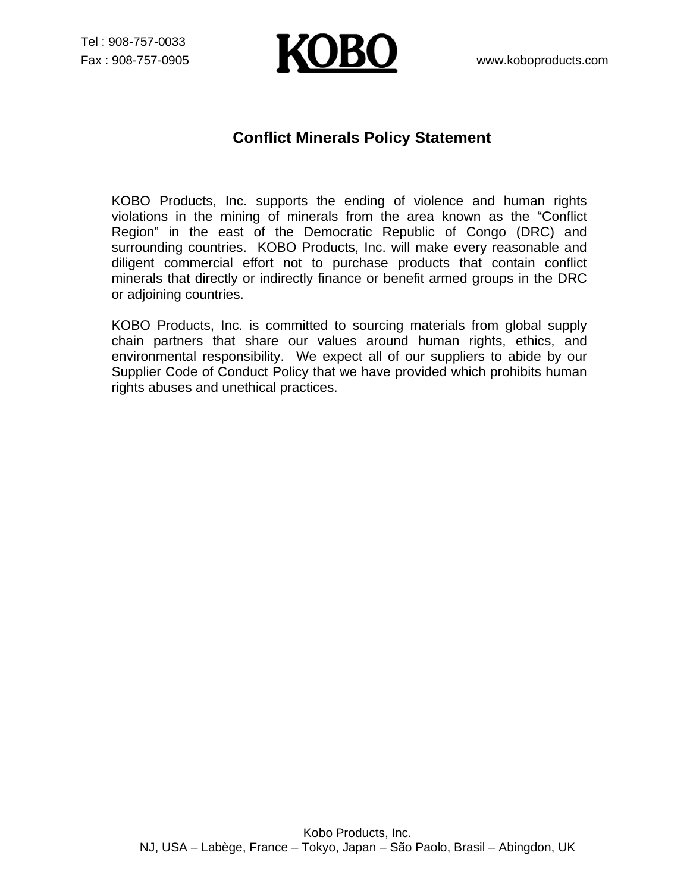Tel : 908-757-0033



## **Conflict Minerals Policy Statement**

KOBO Products, Inc. supports the ending of violence and human rights violations in the mining of minerals from the area known as the "Conflict Region" in the east of the Democratic Republic of Congo (DRC) and surrounding countries. KOBO Products, Inc. will make every reasonable and diligent commercial effort not to purchase products that contain conflict minerals that directly or indirectly finance or benefit armed groups in the DRC or adjoining countries.

KOBO Products, Inc. is committed to sourcing materials from global supply chain partners that share our values around human rights, ethics, and environmental responsibility. We expect all of our suppliers to abide by our Supplier Code of Conduct Policy that we have provided which prohibits human rights abuses and unethical practices.